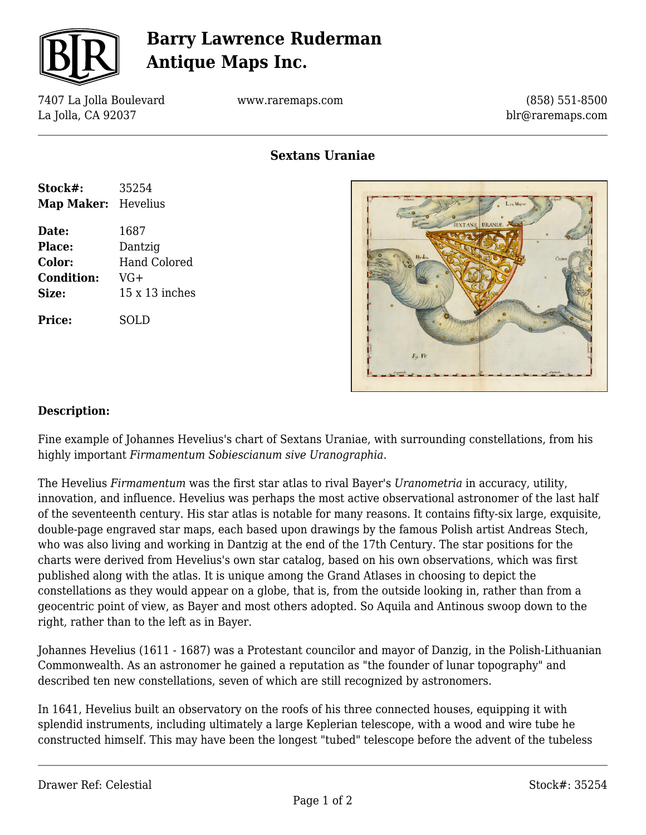

# **Barry Lawrence Ruderman Antique Maps Inc.**

7407 La Jolla Boulevard La Jolla, CA 92037

www.raremaps.com

(858) 551-8500 blr@raremaps.com

**Sextans Uraniae**

| Stock#:           | 35254                 |
|-------------------|-----------------------|
| <b>Map Maker:</b> | Hevelius              |
| Date:             | 1687                  |
| Place:            | Dantzig               |
| Color:            | <b>Hand Colored</b>   |
| <b>Condition:</b> | VG+                   |
| Size:             | $15 \times 13$ inches |
| Price:            | SOLD                  |



#### **Description:**

Fine example of Johannes Hevelius's chart of Sextans Uraniae, with surrounding constellations, from his highly important *Firmamentum Sobiescianum sive Uranographia*.

The Hevelius *Firmamentum* was the first star atlas to rival Bayer's *Uranometria* in accuracy, utility, innovation, and influence. Hevelius was perhaps the most active observational astronomer of the last half of the seventeenth century. His star atlas is notable for many reasons. It contains fifty-six large, exquisite, double-page engraved star maps, each based upon drawings by the famous Polish artist Andreas Stech, who was also living and working in Dantzig at the end of the 17th Century. The star positions for the charts were derived from Hevelius's own star catalog, based on his own observations, which was first published along with the atlas. It is unique among the Grand Atlases in choosing to depict the constellations as they would appear on a globe, that is, from the outside looking in, rather than from a geocentric point of view, as Bayer and most others adopted. So Aquila and Antinous swoop down to the right, rather than to the left as in Bayer.

Johannes Hevelius (1611 - 1687) was a Protestant councilor and mayor of Danzig, in the Polish-Lithuanian Commonwealth. As an astronomer he gained a reputation as "the founder of lunar topography" and described ten new constellations, seven of which are still recognized by astronomers.

In 1641, Hevelius built an observatory on the roofs of his three connected houses, equipping it with splendid instruments, including ultimately a large Keplerian telescope, with a wood and wire tube he constructed himself. This may have been the longest "tubed" telescope before the advent of the tubeless